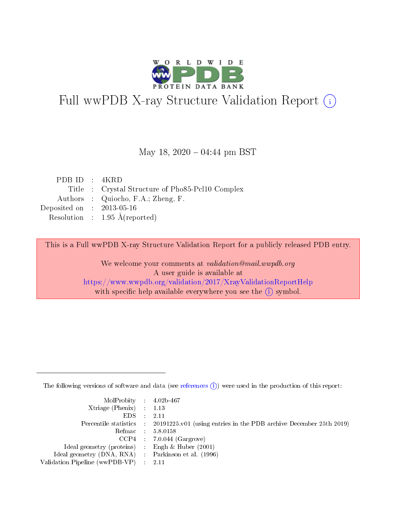

# Full wwPDB X-ray Structure Validation Report (i)

### May 18,  $2020 - 04:44$  pm BST

| PDB ID : $4KRD$             |                                                  |
|-----------------------------|--------------------------------------------------|
|                             | Title : Crystal Structure of Pho85-Pcl10 Complex |
|                             | Authors : Quiocho, F.A.; Zheng, F.               |
| Deposited on : $2013-05-16$ |                                                  |
|                             | Resolution : $1.95 \text{ Å}$ (reported)         |

This is a Full wwPDB X-ray Structure Validation Report for a publicly released PDB entry.

We welcome your comments at validation@mail.wwpdb.org A user guide is available at <https://www.wwpdb.org/validation/2017/XrayValidationReportHelp> with specific help available everywhere you see the  $(i)$  symbol.

The following versions of software and data (see [references](https://www.wwpdb.org/validation/2017/XrayValidationReportHelp#references)  $(i)$ ) were used in the production of this report:

| $MolProbability$ 4.02b-467                          |                                                                                            |
|-----------------------------------------------------|--------------------------------------------------------------------------------------------|
| Xtriage (Phenix) $: 1.13$                           |                                                                                            |
| $EDS$ :                                             | -2.11                                                                                      |
|                                                     | Percentile statistics : 20191225.v01 (using entries in the PDB archive December 25th 2019) |
|                                                     | Refmac : 5.8.0158                                                                          |
|                                                     | $CCP4$ : 7.0.044 (Gargrove)                                                                |
| Ideal geometry (proteins) : Engh $\&$ Huber (2001)  |                                                                                            |
| Ideal geometry (DNA, RNA) : Parkinson et al. (1996) |                                                                                            |
| Validation Pipeline (wwPDB-VP)                      | -2.11                                                                                      |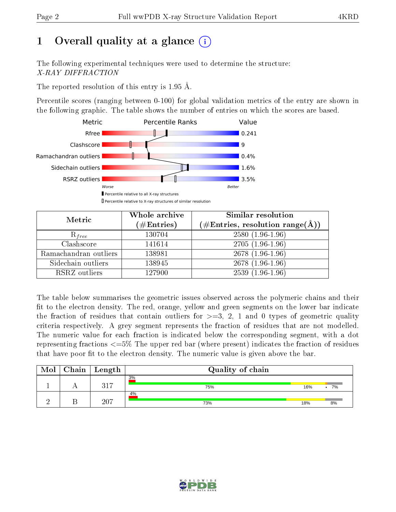# 1 [O](https://www.wwpdb.org/validation/2017/XrayValidationReportHelp#overall_quality)verall quality at a glance  $(i)$

The following experimental techniques were used to determine the structure: X-RAY DIFFRACTION

The reported resolution of this entry is 1.95 Å.

Percentile scores (ranging between 0-100) for global validation metrics of the entry are shown in the following graphic. The table shows the number of entries on which the scores are based.



| Metric                | Whole archive<br>$(\#\mathrm{Entries})$ | Similar resolution<br>$(\#\text{Entries}, \text{resolution range}(\textup{\AA}))$ |
|-----------------------|-----------------------------------------|-----------------------------------------------------------------------------------|
| $R_{free}$            | 130704                                  | $2580(1.96-1.96)$                                                                 |
| Clashscore            | 141614                                  | $2705(1.96-1.96)$                                                                 |
| Ramachandran outliers | 138981                                  | 2678 (1.96-1.96)                                                                  |
| Sidechain outliers    | 138945                                  | 2678 (1.96-1.96)                                                                  |
| RSRZ outliers         | 127900                                  | $2539(1.96-1.96)$                                                                 |

The table below summarises the geometric issues observed across the polymeric chains and their fit to the electron density. The red, orange, yellow and green segments on the lower bar indicate the fraction of residues that contain outliers for  $>=3, 2, 1$  and 0 types of geometric quality criteria respectively. A grey segment represents the fraction of residues that are not modelled. The numeric value for each fraction is indicated below the corresponding segment, with a dot representing fractions  $\epsilon=5\%$  The upper red bar (where present) indicates the fraction of residues that have poor fit to the electron density. The numeric value is given above the bar.

| Mol | Chain | $\vert$ Length | Quality of chain |     |                 |
|-----|-------|----------------|------------------|-----|-----------------|
|     |       | 317            | 3%<br>75%        | 16% | 7%<br>$\bullet$ |
|     |       | 207            | 4%<br>73%        | 18% | 8%              |

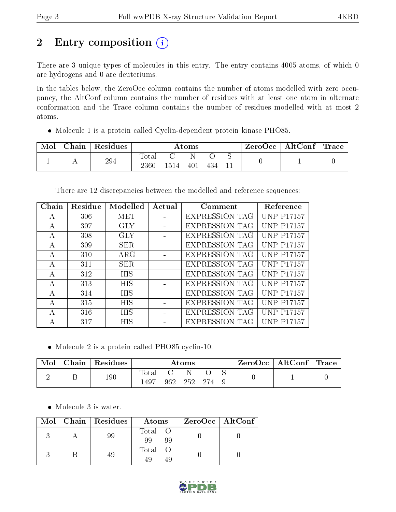# 2 Entry composition (i)

There are 3 unique types of molecules in this entry. The entry contains 4005 atoms, of which 0 are hydrogens and 0 are deuteriums.

In the tables below, the ZeroOcc column contains the number of atoms modelled with zero occupancy, the AltConf column contains the number of residues with at least one atom in alternate conformation and the Trace column contains the number of residues modelled with at most 2 atoms.

Molecule 1 is a protein called Cyclin-dependent protein kinase PHO85.

| Mol | Chain | Residues | $\rm{Atoms}$       |  |     |  |  | ZeroOcc∣ | $\mid$ AltConf $\mid$ Trace |  |
|-----|-------|----------|--------------------|--|-----|--|--|----------|-----------------------------|--|
|     |       | 294      | l'otal<br>$2360\,$ |  | 401 |  |  |          |                             |  |

There are 12 discrepancies between the modelled and reference sequences:

| Chain | Residue | Modelled   | Actual | Comment               | Reference          |
|-------|---------|------------|--------|-----------------------|--------------------|
| А     | 306     | MET        |        | <b>EXPRESSION TAG</b> | <b>UNP P17157</b>  |
| А     | 307     | GLY        |        | <b>EXPRESSION TAG</b> | <b>UNP P17157</b>  |
| A     | 308     | GLY        |        | <b>EXPRESSION TAG</b> | <b>UNP P17157</b>  |
| А     | 309     | SER.       |        | <b>EXPRESSION TAG</b> | <b>UNP P17157</b>  |
| A     | 310     | ARG        |        | <b>EXPRESSION TAG</b> | <b>UNP P17157</b>  |
| A     | 311     | <b>SER</b> |        | <b>EXPRESSION TAG</b> | <b>UNP P17157</b>  |
| А     | 312     | <b>HIS</b> |        | <b>EXPRESSION TAG</b> | <b>UNP P17157</b>  |
| А     | 313     | <b>HIS</b> |        | <b>EXPRESSION TAG</b> | <b>UNP P17157</b>  |
| A     | 314     | <b>HIS</b> |        | <b>EXPRESSION TAG</b> | <b>UNP P17157</b>  |
| А     | 315     | <b>HIS</b> |        | <b>EXPRESSION TAG</b> | <b>UNP P17157</b>  |
| А     | 316     | <b>HIS</b> |        | <b>EXPRESSION TAG</b> | <b>UNP P17157</b>  |
| А     | 317     | HIS        |        | <b>EXPRESSION TAG</b> | P <sub>17157</sub> |

Molecule 2 is a protein called PHO85 cyclin-10.

| Mol | $\operatorname{\mathsf{Chain}}$ | Residues | Atoms                      |        |       | ZeroOcc | $\mid$ AltConf $\mid$ Trace |  |  |  |
|-----|---------------------------------|----------|----------------------------|--------|-------|---------|-----------------------------|--|--|--|
|     |                                 | 190      | Tota <sub>1</sub><br>-1497 | $962-$ | -252- | - 274   |                             |  |  |  |

Molecule 3 is water.

| Mol | Chain   Residues | Atoms             | ZeroOcc   AltConf |
|-----|------------------|-------------------|-------------------|
|     |                  | Total<br>99<br>99 |                   |
|     |                  | Total<br>⊿u<br>49 |                   |

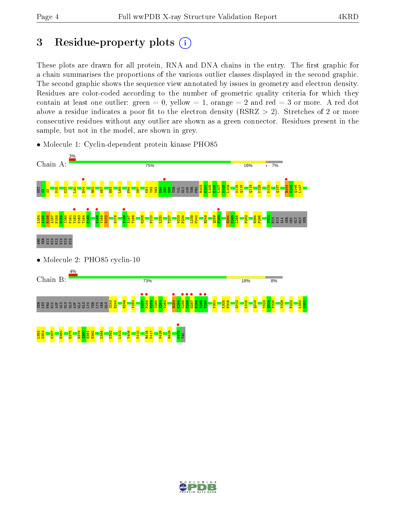# 3 Residue-property plots  $(i)$

These plots are drawn for all protein, RNA and DNA chains in the entry. The first graphic for a chain summarises the proportions of the various outlier classes displayed in the second graphic. The second graphic shows the sequence view annotated by issues in geometry and electron density. Residues are color-coded according to the number of geometric quality criteria for which they contain at least one outlier: green  $= 0$ , yellow  $= 1$ , orange  $= 2$  and red  $= 3$  or more. A red dot above a residue indicates a poor fit to the electron density (RSRZ  $> 2$ ). Stretches of 2 or more consecutive residues without any outlier are shown as a green connector. Residues present in the sample, but not in the model, are shown in grey.



• Molecule 1: Cyclin-dependent protein kinase PHO85

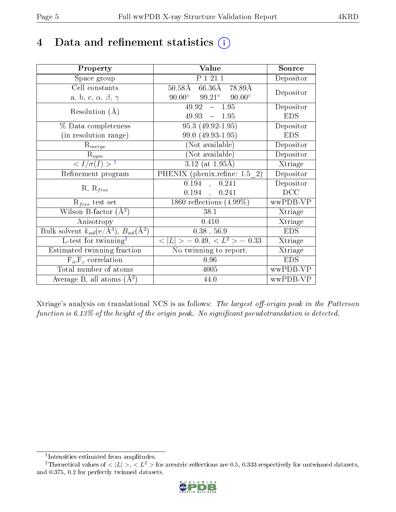# 4 Data and refinement statistics  $(i)$

| Property                                                         | Value                                            | Source     |
|------------------------------------------------------------------|--------------------------------------------------|------------|
| Space group                                                      | P 1 21 1                                         | Depositor  |
| Cell constants                                                   | 50.58Å 66.36Å 78.89Å                             |            |
| a, b, c, $\alpha$ , $\beta$ , $\gamma$                           | $90.00^{\circ}$ $99.21^{\circ}$<br>$90.00^\circ$ | Depositor  |
| Resolution $(A)$                                                 | $49.92 - 1.95$                                   | Depositor  |
|                                                                  | $49.93 - 1.95$                                   | <b>EDS</b> |
| % Data completeness                                              | $95.3(49.92-1.95)$                               | Depositor  |
| (in resolution range)                                            | 99.0 (49.93-1.95)                                | <b>EDS</b> |
| $R_{merge}$                                                      | (Not available)                                  | Depositor  |
| $\mathrm{R}_{sym}$                                               | (Not available)                                  | Depositor  |
| $\sqrt{I/\sigma(I)} > 1$                                         | $3.12$ (at 1.95Å)                                | Xtriage    |
| Refinement program                                               | PHENIX (phenix.refine: 1.5 2)                    | Depositor  |
|                                                                  | 0.194<br>0.241<br>$\mathcal{L}$                  | Depositor  |
| $R, R_{free}$                                                    | $0.194$ ,<br>0.241                               | DCC        |
| $R_{free}$ test set                                              | 1860 reflections $(4.99\%)$                      | wwPDB-VP   |
| Wilson B-factor $(A^2)$                                          | 38.1                                             | Xtriage    |
| Anisotropy                                                       | 0.410                                            | Xtriage    |
| Bulk solvent $k_{sol}(e/\text{\AA}^3)$ , $B_{sol}(\text{\AA}^2)$ | $0.38$ , 56.9                                    | <b>EDS</b> |
| L-test for twinning <sup>2</sup>                                 | $< L >$ = 0.49, $< L^2 >$ = 0.33                 | Xtriage    |
| Estimated twinning fraction                                      | No twinning to report.                           | Xtriage    |
| $F_o, F_c$ correlation                                           | 0.96                                             | <b>EDS</b> |
| Total number of atoms                                            | 4005                                             | wwPDB-VP   |
| Average B, all atoms $(A^2)$                                     | 44.0                                             | wwPDB-VP   |

Xtriage's analysis on translational NCS is as follows: The largest off-origin peak in the Patterson function is  $6.13\%$  of the height of the origin peak. No significant pseudotranslation is detected.

<sup>&</sup>lt;sup>2</sup>Theoretical values of  $\langle |L| \rangle$ ,  $\langle L^2 \rangle$  for acentric reflections are 0.5, 0.333 respectively for untwinned datasets, and 0.375, 0.2 for perfectly twinned datasets.



<span id="page-4-1"></span><span id="page-4-0"></span><sup>1</sup> Intensities estimated from amplitudes.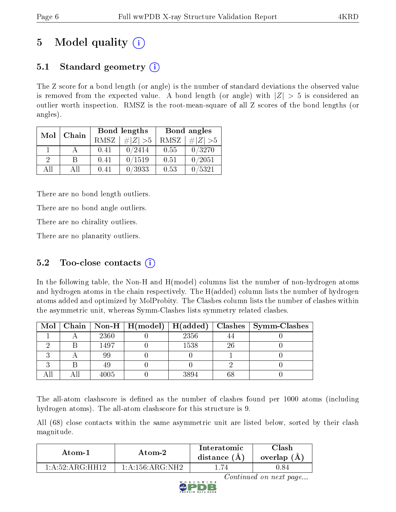# 5 Model quality  $(i)$

## 5.1 Standard geometry  $(i)$

The Z score for a bond length (or angle) is the number of standard deviations the observed value is removed from the expected value. A bond length (or angle) with  $|Z| > 5$  is considered an outlier worth inspection. RMSZ is the root-mean-square of all Z scores of the bond lengths (or angles).

| Chain<br>Mol |     |             | Bond lengths | Bond angles |             |  |
|--------------|-----|-------------|--------------|-------------|-------------|--|
|              |     | <b>RMSZ</b> | $\# Z  > 5$  | RMSZ        | # $ Z  > 5$ |  |
|              |     | 0.41        | 0/2414       | 0.55        | 0/3270      |  |
| $\Omega$     | R   | 0.41        | 0/1519       | 0.51        | 0/2051      |  |
| AĦ           | Αll | 0.41        | 0/3933       | 0.53        | 0/5321      |  |

There are no bond length outliers.

There are no bond angle outliers.

There are no chirality outliers.

There are no planarity outliers.

## 5.2 Too-close contacts  $(i)$

In the following table, the Non-H and H(model) columns list the number of non-hydrogen atoms and hydrogen atoms in the chain respectively. The H(added) column lists the number of hydrogen atoms added and optimized by MolProbity. The Clashes column lists the number of clashes within the asymmetric unit, whereas Symm-Clashes lists symmetry related clashes.

|  |      |      |    | Mol   Chain   Non-H   H(model)   H(added)   Clashes   Symm-Clashes |
|--|------|------|----|--------------------------------------------------------------------|
|  | 2360 | 2356 |    |                                                                    |
|  | 1497 | 1538 | 26 |                                                                    |
|  | 99   |      |    |                                                                    |
|  |      |      |    |                                                                    |
|  | 4005 | 3894 |    |                                                                    |

The all-atom clashscore is defined as the number of clashes found per 1000 atoms (including hydrogen atoms). The all-atom clashscore for this structure is 9.

All (68) close contacts within the same asymmetric unit are listed below, sorted by their clash magnitude.

| Atom-1            | Atom-2                                          |  | Clash<br>overlap (A) |
|-------------------|-------------------------------------------------|--|----------------------|
| 1: A:52: ARG·HH12 | $1 \cdot A \cdot 156 \cdot A \cdot G \cdot NH2$ |  | 1.84                 |



Continued on next page...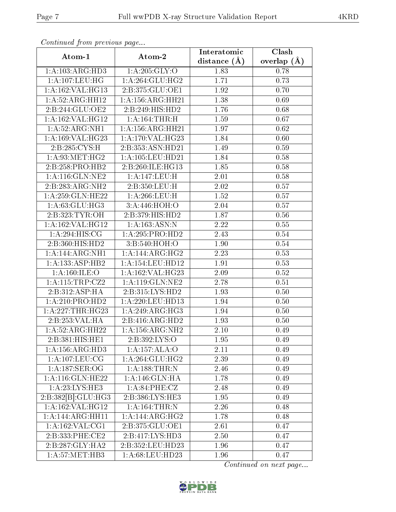| Continuation provided puga          |                      | Interatomic    | Clash           |
|-------------------------------------|----------------------|----------------|-----------------|
| Atom-1                              | Atom-2               | distance $(A)$ | overlap $(\AA)$ |
| 1:A:103:ARG:HD3                     | 1: A:205: GLY:O      | 1.83           | 0.78            |
| 1: A: 107: LEU: HG                  | 1: A:264: GLU:HG2    | 1.71           | 0.73            |
| 1:A:162:VAL:HG13                    | 2:B:375:GLU:OE1      | 1.92           | 0.70            |
| 1: A:52: ARG: HH12                  | 1:A:156:ARG:HH21     | 1.38           | 0.69            |
| 2:B:244:GLU:OE2                     | 2:B:249:HIS:HD2      | 1.76           | 0.68            |
| 1: A: 162: VAL: HG12                | 1:A:164:THR:H        | 1.59           | 0.67            |
| 1:A:52:ARG:NH1                      | 1: A: 156: ARG: HH21 | 1.97           | $0.62\,$        |
| 1: A: 169: VAL: HG23                | 1:A:170:VAL:HG23     | 1.84           | 0.60            |
| 2:B:285:CYS:H                       | 2:B:353:ASN:HD21     | 1.49           | 0.59            |
| 1: A:93:MET:HG2                     | 1:A:105:LEU:HD21     | 1.84           | 0.58            |
| 2:B:258:PRO:HB2                     | 2:B:260:ILE:HG13     | 1.85           | 0.58            |
| 1: A:116: GLN: NE2                  | 1:A:147:LEU:H        | 2.01           | 0.58            |
| 2:B:283:ARG:NH2                     | 2:B:350:LEU:H        | 2.02           | 0.57            |
| 1:A:259:GLN:HE22                    | 1: A:266:LEU:H       | 1.52           | 0.57            |
| 1:A:63:GLU:HG3                      | 3:A:446:HOH:O        | 2.04           | 0.57            |
| 2:B:323:TYR:OH                      | 2:B:379:HIS:HD2      | 1.87           | 0.56            |
| 1:A:162:VAL:HG12                    | 1: A: 163: ASN: N    | 2.22           | 0.55            |
| 1:A:294:HIS:CG                      | 1:A:295:PRO:HD2      | 2.43           | 0.54            |
| 2:B:360:HIS:HD2                     | 3:B:540:HOH:O        | 1.90           | $0.54\,$        |
| 1:A:144:ARG:NH1                     | 1:A:144:ARG:HG2      | 2.23           | 0.53            |
| $1:A:133:\overline{\text{ASP:HB2}}$ | 1: A: 154: LEU: HD12 | 1.91           | 0.53            |
| 1: A: 160: ILE: O                   | 1:A:162:VAL:HG23     | 2.09           | 0.52            |
| 1:A:115:TRP:CZ2                     | 1: A:119: GLN: NE2   | 2.78           | 0.51            |
| 2:B:312:ASP:HA                      | 2: B: 315: LYS: HD2  | 1.93           | 0.50            |
| 1:A:210:PRO:HD2                     | 1: A:220: LEU: HD13  | 1.94           | 0.50            |
| 1: A:227:THR:HG23                   | 1:A:249:ARG:HG3      | 1.94           | 0.50            |
| 2:B:253:VAL:HA                      | 2:B:416:ARG:HD2      | 1.93           | 0.50            |
| 1:A:52:ARG:HH22                     | 1:A:156:ARG:NH2      | 2.10           | 0.49            |
| 2:B:381:HIS:HE1                     | 2:B:392:LYS:O        | 1.95           | 0.49            |
| 1:A:156:ARG:HD3                     | 1:A:157:ALA:O        | 2.11           | 0.49            |
| 1: A: 107: LEU: CG                  | 1:A:264:GLU:HG2      | 2.39           | 0.49            |
| 1:A:187:SER:OG                      | 1: A: 188: THR:N     | 2.46           | 0.49            |
| 1:A:116:GLN:HE22                    | 1:A:146:GLN:HA       | 1.78           | 0.49            |
| 1:A:23:LYS:HE3                      | 1:A:84:PHE:CZ        | 2.48           | 0.49            |
| 2:B:382[B]:GLU:HG3                  | 2:B:386:LYS:HE3      | 1.95           | 0.49            |
| 1:A:162:VAL:HG12                    | 1: A:164:THR:N       | 2.26           | 0.48            |
| $1:A:144:ARG:H\overline{H11}$       | 1:A:144:ARG:HG2      | 1.78           | 0.48            |
| 1: A: 162: VAL: CG1                 | 2:B:375:GLU:OE1      | 2.61           | 0.47            |
| 2:B:333:PHE:CE2                     | 2:B:417:LYS:HD3      | 2.50           | 0.47            |
| 2:B:287:GLY:HA2                     | 2:B:352:LEU:HD23     | 1.96           | 0.47            |
| $1: A:57: \widetilde{MET:HB3}$      | 1:A:68:LEU:HD23      | 1.96           | 0.47            |

Continued from previous page.

Continued on next page...

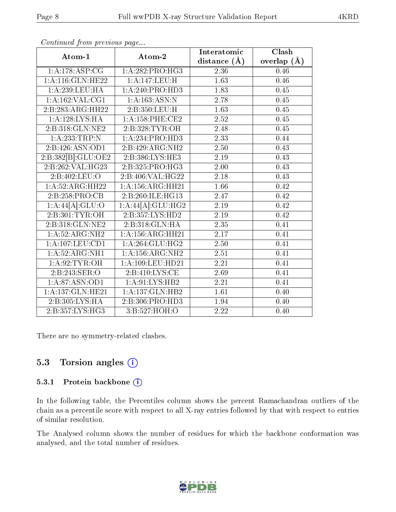| Atom-1                                 | Atom-2                        | Interatomic       | Clash         |
|----------------------------------------|-------------------------------|-------------------|---------------|
|                                        |                               | distance $(\AA)$  | overlap $(A)$ |
| 1:A:178:ASP:CG                         | 1:A:282:PRO:H G3              | $2.36\,$          | 0.46          |
| 1: A:116: GLN: HE22                    | 1:A:147:LEU:H                 | $\overline{1.63}$ | 0.46          |
| 1:A:239:LEU:HA                         | $1:A:240:PRO:\overline{HD3}$  | 1.83              | 0.45          |
| 1:A:162:VAL:CG1                        | 1: A: 163: ASN: N             | 2.78              | $0.45\,$      |
| 2:B:283:ARG:HH22                       | 2:B:350:LEU:H                 | 1.63              | 0.45          |
| 1:A:128:LYS:HA                         | 1: A: 158: PHE: CE2           | 2.52              | 0.45          |
| 2:B:318:GLN:NE2                        | 2:B:328:TYR:OH                | $2.48\,$          | $0.45\,$      |
| 1: A: 233: TRP: N                      | 1:A:234:PRO:HD3               | 2.33              | 0.44          |
| 2:B:426:ASN:OD1                        | 2:B:429:ARG:NH2               | 2.50              | 0.43          |
| 2:B:382[B]:GLU:OE2                     | 2:B:386:LYS:HE3               | 2.19              | 0.43          |
| 2:B:262:VAL:HG23                       | 2:B:325:PRO:HG3               | 2.00              | 0.43          |
| 2:B:402:LEU:O                          | 2: B:406: VAL:HG22            | 2.18              | 0.43          |
| 1:A:52:ARG:HH22                        | 1:A:156:ARG:HH21              | $\overline{1.66}$ | 0.42          |
| 2:B:258:PRO:CB                         | 2:B:260:ILE:HG13              | 2.47              | $0.42\,$      |
| 1:A:44[A]:GLU:O                        | 1:A:44[A]:GLU:HG2             | 2.19              | 0.42          |
| 2:B:301:TYR:OH                         | 2:B:357:LYS:HD2               | $2.19\,$          | 0.42          |
| 2:B:318:GLN:NE2                        | 2:B:318:GLN:HA                | 2.35              | 0.41          |
| 1:A:52:ARG:NH2                         | 1: A: 156: ARG: HH21          | 2.17              | 0.41          |
| $1: A: 107: \overline{\text{LEU:CD1}}$ | 1:A:264:GLU:HG2               | $\overline{2.50}$ | 0.41          |
| 1: A:52: ARG: NH1                      | 1: A: 156: ARG: NH2           | 2.51              | 0.41          |
| 1: A:92: TYR: OH                       | 1: A:109: LEU: HD21           | 2.21              | 0.41          |
| 2:B:243:SER:O                          | 2:B:410:LYS:CE                | 2.69              | 0.41          |
| 1: A:87: ASN:OD1                       | 1: A:91: LYS: HB2             | 2.21              | 0.41          |
| 1: A: 137: GLN: HE21                   | 1:A:137:GLN:HB2               | 1.61              | 0.40          |
| 2:B:305:LYS:HA                         | 2:B:306:PRO:HD3               | 1.94              | 0.40          |
| 2:B:357:LYS:HG3                        | $3: B: 527: \overline{HOH:O}$ | $\overline{2.22}$ | 0.40          |

Continued from previous page...

There are no symmetry-related clashes.

### 5.3 Torsion angles (i)

#### 5.3.1 Protein backbone (i)

In the following table, the Percentiles column shows the percent Ramachandran outliers of the chain as a percentile score with respect to all X-ray entries followed by that with respect to entries of similar resolution.

The Analysed column shows the number of residues for which the backbone conformation was analysed, and the total number of residues.

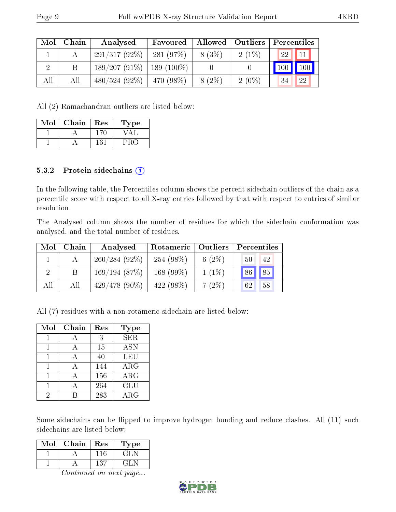|     | $Mol$   Chain | Analysed                      | Favoured         | Allowed   Outliers |          | Percentiles                        |
|-----|---------------|-------------------------------|------------------|--------------------|----------|------------------------------------|
|     |               | $291/317(92\%)$               | 281(97%)         | $8(3\%)$           | $2(1\%)$ | $\prod 11$<br><b>22</b>            |
|     | В             | $189/207(91\%)$   189 (100\%) |                  |                    |          | $\vert$ 100<br>$\vert$ 100 $\vert$ |
| All | All           | $480/524(92\%)$               | $\pm 470~(98\%)$ | 8 (2\%)            | $2(0\%)$ | 22<br>34                           |

All (2) Ramachandran outliers are listed below:

| Mol | Chain | Res | Type |
|-----|-------|-----|------|
|     |       | -70 |      |
|     |       |     | שנ   |

#### 5.3.2 Protein sidechains  $(i)$

In the following table, the Percentiles column shows the percent sidechain outliers of the chain as a percentile score with respect to all X-ray entries followed by that with respect to entries of similar resolution.

The Analysed column shows the number of residues for which the sidechain conformation was analysed, and the total number of residues.

| Mol | Chain | Analysed        | Rotameric   Outliers |           | Percentiles |
|-----|-------|-----------------|----------------------|-----------|-------------|
|     |       | $260/284(92\%)$ | 254 (98\%)           | 6 $(2\%)$ | 42<br>50    |
| 2   |       | 169/194(87%)    | 168 $(99\%)$         | $1(1\%)$  | 85<br>86    |
| All | All   | $429/478(90\%)$ | $422(98\%)$          | $7(2\%)$  | 58<br>62    |

All (7) residues with a non-rotameric sidechain are listed below:

| Mol | Chain        | Res              | Type       |
|-----|--------------|------------------|------------|
|     |              | 3                | <b>SER</b> |
|     |              | 15               | <b>ASN</b> |
|     | $\mathbf{A}$ | 40               | LEU        |
|     |              | 144              | $\rm{ARG}$ |
|     |              | 156              | $\rm{ARG}$ |
|     |              | 264              | GLU        |
| 2   |              | $\overline{283}$ | $\rm{ARG}$ |

Some sidechains can be flipped to improve hydrogen bonding and reduce clashes. All (11) such sidechains are listed below:

| Mol | Chain | Res | L'ype           |
|-----|-------|-----|-----------------|
|     |       | 116 | ا الخب          |
|     |       | 137 | $T_{\rm eff}$ N |

Continued on next page...

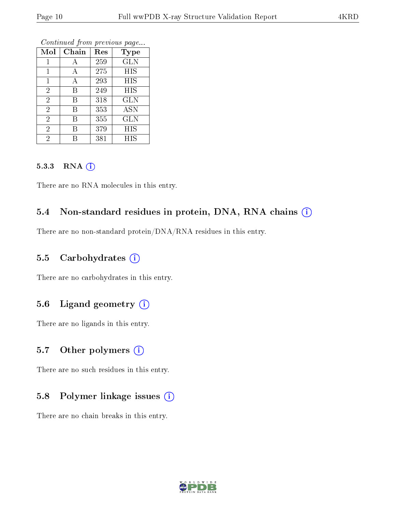| Mol            | Chain | Res | <b>Type</b> |
|----------------|-------|-----|-------------|
| 1              | Α     | 259 | <b>GLN</b>  |
| 1              | А     | 275 | <b>HIS</b>  |
| $\mathbf 1$    | Α     | 293 | HIS         |
| $\overline{2}$ | В     | 249 | HIS         |
| $\overline{2}$ | В     | 318 | GLN         |
| $\overline{2}$ | В     | 353 | <b>ASN</b>  |
| $\overline{2}$ | В     | 355 | GLN         |
| $\overline{2}$ | В     | 379 | <b>HIS</b>  |
| $\overline{2}$ | R     | 381 | HIS         |

Continued from previous page...

#### 5.3.3 RNA (i)

There are no RNA molecules in this entry.

### 5.4 Non-standard residues in protein, DNA, RNA chains  $(i)$

There are no non-standard protein/DNA/RNA residues in this entry.

#### 5.5 Carbohydrates  $(i)$

There are no carbohydrates in this entry.

### 5.6 Ligand geometry  $(i)$

There are no ligands in this entry.

### 5.7 [O](https://www.wwpdb.org/validation/2017/XrayValidationReportHelp#nonstandard_residues_and_ligands)ther polymers  $(i)$

There are no such residues in this entry.

#### 5.8 Polymer linkage issues  $(i)$

There are no chain breaks in this entry.

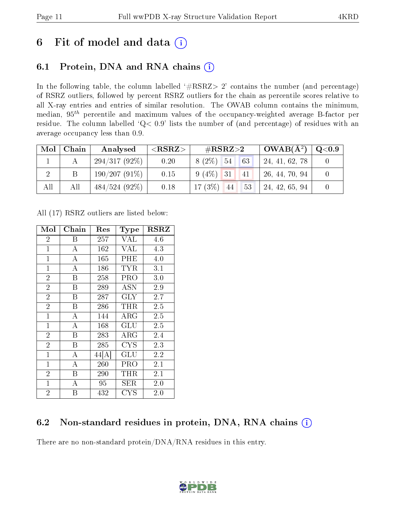# 6 Fit of model and data  $(i)$

## 6.1 Protein, DNA and RNA chains  $(i)$

In the following table, the column labelled  $#RSRZ> 2'$  contains the number (and percentage) of RSRZ outliers, followed by percent RSRZ outliers for the chain as percentile scores relative to all X-ray entries and entries of similar resolution. The OWAB column contains the minimum, median,  $95<sup>th</sup>$  percentile and maximum values of the occupancy-weighted average B-factor per residue. The column labelled ' $Q< 0.9$ ' lists the number of (and percentage) of residues with an average occupancy less than 0.9.

| Mol | Chain | Analysed        | $<$ RSRZ $>$ | $\rm \#RSRZ{>}2$                    | $\mid$ OWAB( $A^2$ ) | $\rm Q\textcolor{black}{<}0.9$ |
|-----|-------|-----------------|--------------|-------------------------------------|----------------------|--------------------------------|
|     |       | $294/317(92\%)$ | 0.20         | $8(2\%)$ 54<br>63                   | 24, 41, 62, 78       |                                |
|     | Β     | 190/207(91%)    | 0.15         | $9(4\%)$ 31<br>41                   | 26, 44, 70, 94       |                                |
| All | All   | $484/524(92\%)$ | 0.18         | $17(3\%)$<br>53<br>$\vert 44 \vert$ | 124, 42, 65, 94      |                                |

All (17) RSRZ outliers are listed below:

| Mol            | Chain              | $\operatorname{Res}% \left( \mathcal{N}\right) \equiv\operatorname*{Res}\left( \mathcal{N}\right)$ | <b>Type</b>          | $_{\rm RSRZ}$ |
|----------------|--------------------|----------------------------------------------------------------------------------------------------|----------------------|---------------|
| $\overline{2}$ | Β                  | 257                                                                                                | VAL                  | 4.6           |
| $\mathbf{1}$   | $\bf{A}$           | 162                                                                                                | <b>VAL</b>           | 4.3           |
| $\mathbf{1}$   | $\overline{\rm A}$ | 165                                                                                                | PHE                  | 4.0           |
| $\mathbf{1}$   | $\overline{A}$     | 186                                                                                                | TYR                  | 3.1           |
| $\overline{2}$ | B                  | 258                                                                                                | PRO                  | 3.0           |
| $\overline{2}$ | B                  | 289                                                                                                | ASN                  | 2.9           |
| $\overline{2}$ | B                  | 287                                                                                                | <b>GLY</b>           | 2.7           |
| $\overline{2}$ | B                  | 286                                                                                                | THR                  | 2.5           |
| $\mathbf{1}$   | $\bf{A}$           | 144                                                                                                | ${\rm ARG}$          | 2.5           |
| $\mathbf{1}$   | $\overline{\rm A}$ | 168                                                                                                | $\operatorname{GLU}$ | 2.5           |
| $\overline{2}$ | B                  | 283                                                                                                | ${\rm ARG}$          | 2.4           |
| $\overline{2}$ | B                  | 285                                                                                                | <b>CYS</b>           | 2.3           |
| $\mathbf{1}$   | $\overline{A}$     | 44[A]                                                                                              | GLU                  | 2.2           |
| $\mathbf{1}$   | $\bf{A}$           | 260                                                                                                | PRO                  | 2.1           |
| $\overline{2}$ | $\boldsymbol{B}$   | 290                                                                                                | THR                  | 2.1           |
| $\mathbf{1}$   | $\overline{A}$     | 95                                                                                                 | SER                  | 2.0           |
| $\overline{2}$ | Β                  | 432                                                                                                | CYS                  | 2.0           |

### 6.2 Non-standard residues in protein, DNA, RNA chains  $(i)$

There are no non-standard protein/DNA/RNA residues in this entry.